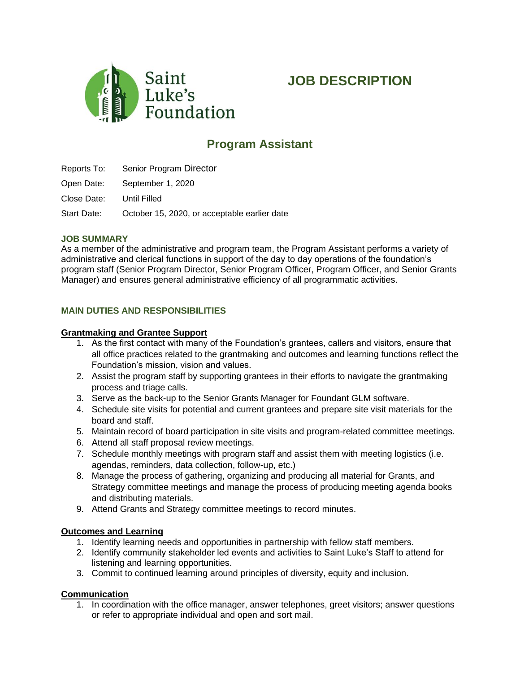

# **JOB DESCRIPTION**

# **Program Assistant**

Reports To: Senior Program Director

Open Date: September 1, 2020

Close Date: Until Filled

Start Date: October 15, 2020, or acceptable earlier date

#### **JOB SUMMARY**

As a member of the administrative and program team, the Program Assistant performs a variety of administrative and clerical functions in support of the day to day operations of the foundation's program staff (Senior Program Director, Senior Program Officer, Program Officer, and Senior Grants Manager) and ensures general administrative efficiency of all programmatic activities.

## **MAIN DUTIES AND RESPONSIBILITIES**

#### **Grantmaking and Grantee Support**

- 1. As the first contact with many of the Foundation's grantees, callers and visitors, ensure that all office practices related to the grantmaking and outcomes and learning functions reflect the Foundation's mission, vision and values.
- 2. Assist the program staff by supporting grantees in their efforts to navigate the grantmaking process and triage calls.
- 3. Serve as the back-up to the Senior Grants Manager for Foundant GLM software.
- 4. Schedule site visits for potential and current grantees and prepare site visit materials for the board and staff.
- 5. Maintain record of board participation in site visits and program-related committee meetings.
- 6. Attend all staff proposal review meetings.
- 7. Schedule monthly meetings with program staff and assist them with meeting logistics (i.e. agendas, reminders, data collection, follow-up, etc.)
- 8. Manage the process of gathering, organizing and producing all material for Grants, and Strategy committee meetings and manage the process of producing meeting agenda books and distributing materials.
- 9. Attend Grants and Strategy committee meetings to record minutes.

## **Outcomes and Learning**

- 1. Identify learning needs and opportunities in partnership with fellow staff members.
- 2. Identify community stakeholder led events and activities to Saint Luke's Staff to attend for listening and learning opportunities.
- 3. Commit to continued learning around principles of diversity, equity and inclusion.

## **Communication**

1. In coordination with the office manager, answer telephones, greet visitors; answer questions or refer to appropriate individual and open and sort mail.